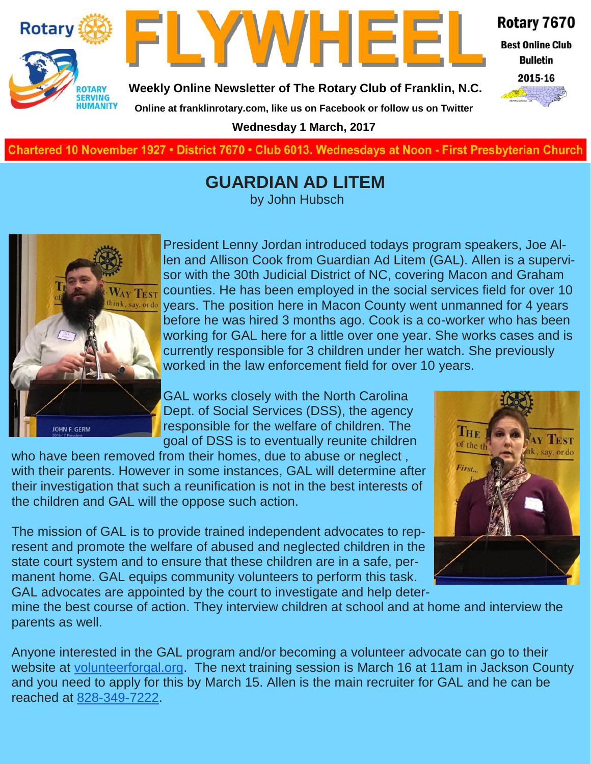



**Best Online Club Bulletin** 

2015-16

**Weekly Online Newsletter of The Rotary Club of Franklin, N.C.**

**Online at franklinrotary.com, like us on Facebook or follow us on Twitter**

**Wednesday 1 March, 2017**

**Charted November 29, 1927 • District 7670 • Club 6013 Wednesdays at Noon - First Presbyterian Church**

#### **GUARDIAN AD LITEM**

by John Hubsch



President Lenny Jordan introduced todays program speakers, Joe Allen and Allison Cook from Guardian Ad Litem (GAL). Allen is a supervisor with the 30th Judicial District of NC, covering Macon and Graham counties. He has been employed in the social services field for over 10 years. The position here in Macon County went unmanned for 4 years before he was hired 3 months ago. Cook is a co-worker who has been working for GAL here for a little over one year. She works cases and is currently responsible for 3 children under her watch. She previously worked in the law enforcement field for over 10 years.

GAL works closely with the North Carolina Dept. of Social Services (DSS), the agency responsible for the welfare of children. The goal of DSS is to eventually reunite children

who have been removed from their homes, due to abuse or neglect , with their parents. However in some instances, GAL will determine after their investigation that such a reunification is not in the best interests of the children and GAL will the oppose such action.

The mission of GAL is to provide trained independent advocates to represent and promote the welfare of abused and neglected children in the state court system and to ensure that these children are in a safe, permanent home. GAL equips community volunteers to perform this task. GAL advocates are appointed by the court to investigate and help deter-



mine the best course of action. They interview children at school and at home and interview the parents as well.

Anyone interested in the GAL program and/or becoming a volunteer advocate can go to their website at [volunteerforgal.org.](http://volunteerforgal.org/) The next training session is March 16 at 11am in Jackson County and you need to apply for this by March 15. Allen is the main recruiter for GAL and he can be reached at [828-349-7222.](tel:(828)%20349-7222)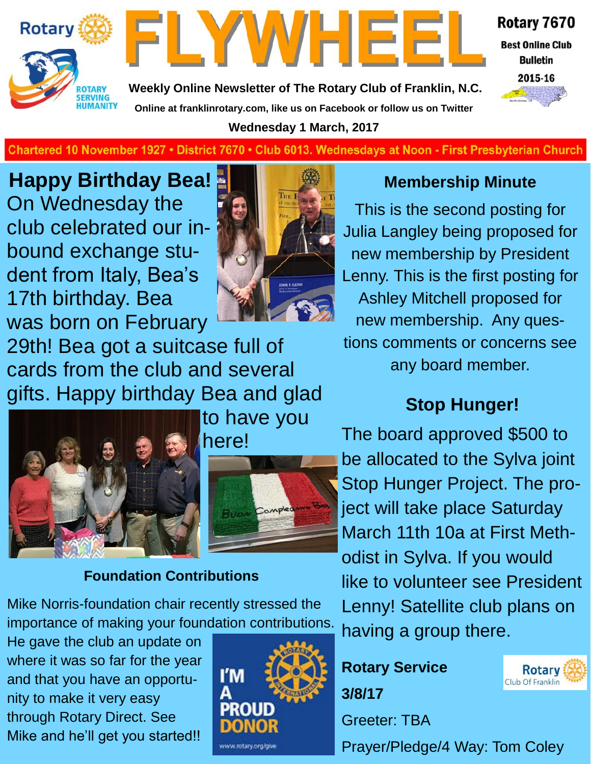



**Best Online Club Bulletin** 

**Weekly Online Newsletter of The Rotary Club of Franklin, N.C. Online at franklinrotary.com, like us on Facebook or follow us on Twitter Wednesday 1 March, 2017**



**Charted November 29, 1927 • District 7670 • Club 6013 Wednesdays at Noon - First Presbyterian Church**

**Happy Birthday Bea!** On Wednesday the club celebrated our inbound exchange student from Italy, Bea's 17th birthday. Bea was born on February



29th! Bea got a suitcase full of cards from the club and several gifts. Happy birthday Bea and glad



to have you here!



#### **Foundation Contributions**

Mike Norris-foundation chair recently stressed the importance of making your foundation contributions.

He gave the club an update on where it was so far for the year and that you have an opportunity to make it very easy through Rotary Direct. See Mike and he'll get you started!!



#### **Membership Minute**

This is the second posting for Julia Langley being proposed for new membership by President Lenny. This is the first posting for Ashley Mitchell proposed for new membership. Any questions comments or concerns see any board member.

#### **Stop Hunger!**

The board approved \$500 to be allocated to the Sylva joint Stop Hunger Project. The project will take place Saturday March 11th 10a at First Methodist in Sylva. If you would like to volunteer see President Lenny! Satellite club plans on having a group there.

**Rotary Service 3/8/17**

Greeter: TBA

Prayer/Pledge/4 Way: Tom Coley

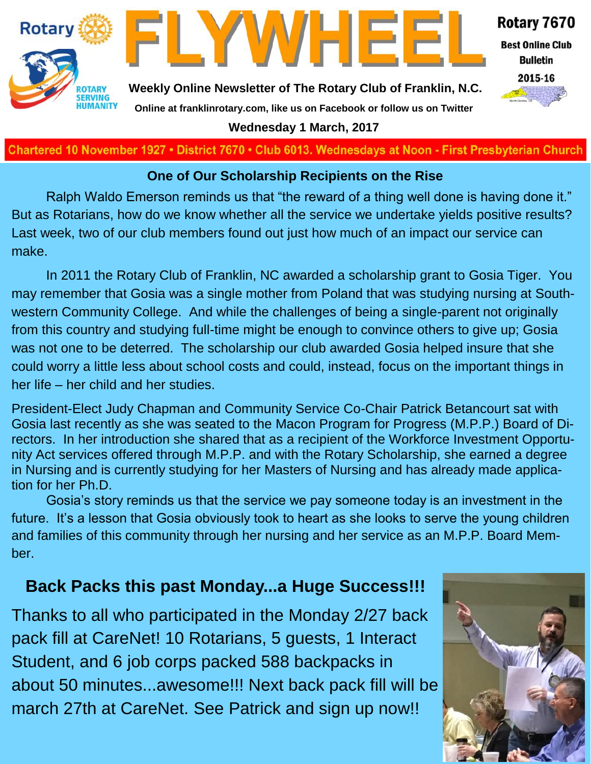



**Best Online Club Bulletin** 

2015-16

**Weekly Online Newsletter of The Rotary Club of Franklin, N.C. Online at franklinrotary.com, like us on Facebook or follow us on Twitter**

**Wednesday 1 March, 2017**

**Charted November 29, 1927 • District 7670 • Club 6013 Wednesdays at Noon - First Presbyterian Church**

#### **One of Our Scholarship Recipients on the Rise**

Ralph Waldo Emerson reminds us that "the reward of a thing well done is having done it." But as Rotarians, how do we know whether all the service we undertake yields positive results? Last week, two of our club members found out just how much of an impact our service can make.

In 2011 the Rotary Club of Franklin, NC awarded a scholarship grant to Gosia Tiger. You may remember that Gosia was a single mother from Poland that was studying nursing at Southwestern Community College. And while the challenges of being a single-parent not originally from this country and studying full-time might be enough to convince others to give up; Gosia was not one to be deterred. The scholarship our club awarded Gosia helped insure that she could worry a little less about school costs and could, instead, focus on the important things in her life – her child and her studies.

President-Elect Judy Chapman and Community Service Co-Chair Patrick Betancourt sat with Gosia last recently as she was seated to the Macon Program for Progress (M.P.P.) Board of Directors. In her introduction she shared that as a recipient of the Workforce Investment Opportunity Act services offered through M.P.P. and with the Rotary Scholarship, she earned a degree in Nursing and is currently studying for her Masters of Nursing and has already made application for her Ph.D.

Gosia's story reminds us that the service we pay someone today is an investment in the future. It's a lesson that Gosia obviously took to heart as she looks to serve the young children and families of this community through her nursing and her service as an M.P.P. Board Member.

#### **Back Packs this past Monday...a Huge Success!!!**

Thanks to all who participated in the Monday 2/27 back pack fill at CareNet! 10 Rotarians, 5 guests, 1 Interact Student, and 6 job corps packed 588 backpacks in about 50 minutes...awesome!!! Next back pack fill will be march 27th at CareNet. See Patrick and sign up now!!

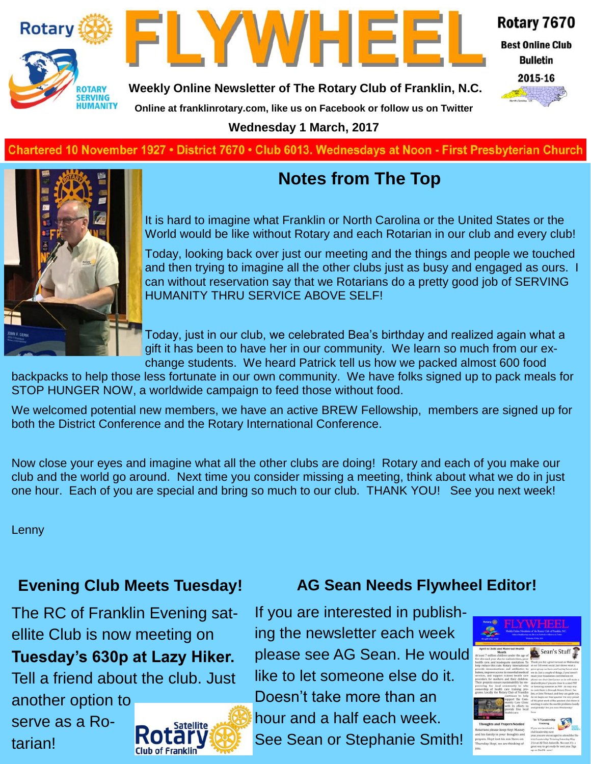



**Best Online Club Bulletin** 

2015-16

**Weekly Online Newsletter of The Rotary Club of Franklin, N.C.**

**Online at franklinrotary.com, like us on Facebook or follow us on Twitter**

**Wednesday 1 March, 2017**

**Charted November 29, 1927 • District 7670 • Club 6013 Wednesdays at Noon - First Presbyterian Church**



#### **Notes from The Top**

It is hard to imagine what Franklin or North Carolina or the United States or the World would be like without Rotary and each Rotarian in our club and every club!

Today, looking back over just our meeting and the things and people we touched and then trying to imagine all the other clubs just as busy and engaged as ours. I can without reservation say that we Rotarians do a pretty good job of SERVING HUMANITY THRU SERVICE ABOVE SELF!

Today, just in our club, we celebrated Bea's birthday and realized again what a gift it has been to have her in our community. We learn so much from our exchange students. We heard Patrick tell us how we packed almost 600 food

backpacks to help those less fortunate in our own community. We have folks signed up to pack meals for STOP HUNGER NOW, a worldwide campaign to feed those without food.

We welcomed potential new members, we have an active BREW Fellowship, members are signed up for both the District Conference and the Rotary International Conference.

Now close your eyes and imagine what all the other clubs are doing! Rotary and each of you make our club and the world go around. Next time you consider missing a meeting, think about what we do in just one hour. Each of you are special and bring so much to our club. THANK YOU! See you next week!

Lenny

tarian!

#### **Evening Club Meets Tuesday!**

The RC of Franklin Evening satellite Club is now meeting on **Tuesday's 630p at Lazy Hiker.**  Tell a friend about the club. Just another option to serve as a Ro-**Satellite** 



**AG Sean Needs Flywheel Editor!**

If you are interested in publishing the newsletter each week please see AG Sean. He would like to let someone else do it. Doesn't take more than an hour and a half each week. See Sean or Stephanie Smith!

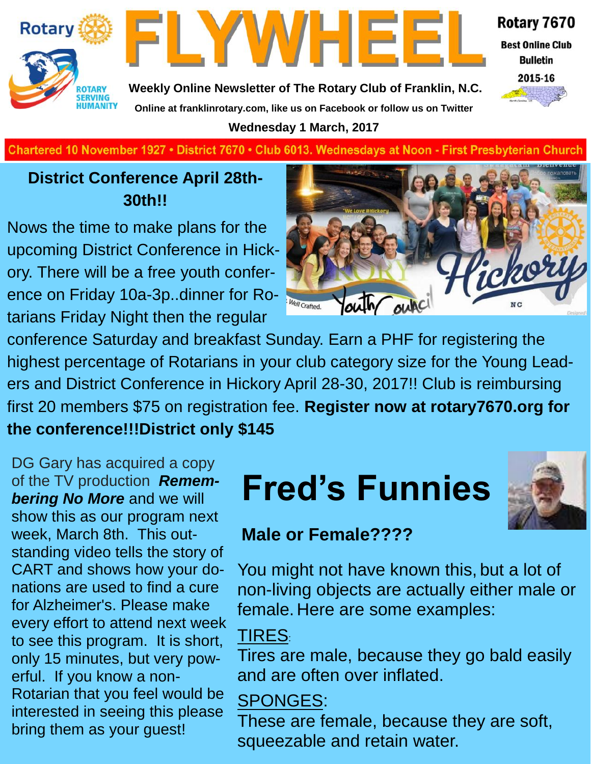



**Best Online Club Bulletin** 

**Weekly Online Newsletter of The Rotary Club of Franklin, N.C. Online at franklinrotary.com, like us on Facebook or follow us on Twitter**

**Wednesday 1 March, 2017**



**Charted November 29, 1927 • District 7670 • Club 6013 Wednesdays at Noon - First Presbyterian Church**

#### **District Conference April 28th-30th!!**

Nows the time to make plans for the upcoming District Conference in Hickory. There will be a free youth conference on Friday 10a-3p..dinner for Rotarians Friday Night then the regular



conference Saturday and breakfast Sunday. Earn a PHF for registering the highest percentage of Rotarians in your club category size for the Young Leaders and District Conference in Hickory April 28-30, 2017!! Club is reimbursing first 20 members \$75 on registration fee. **Register now at rotary7670.org for the conference!!!District only \$145**

DG Gary has acquired a copy of the TV production *Remembering No More* and we will show this as our program next week, March 8th. This outstanding video tells the story of CART and shows how your donations are used to find a cure for Alzheimer's. Please make every effort to attend next week to see this program. It is short, only 15 minutes, but very powerful. If you know a non-Rotarian that you feel would be interested in seeing this please bring them as your guest!

# **Fred's Funnies**



#### **Male or Female????**

You might not have known this, but a lot of non-living objects are actually either male or female. Here are some examples:

#### TIRES:

Tires are male, because they go bald easily and are often over inflated.

#### SPONGES:

These are female, because they are soft, squeezable and retain water.